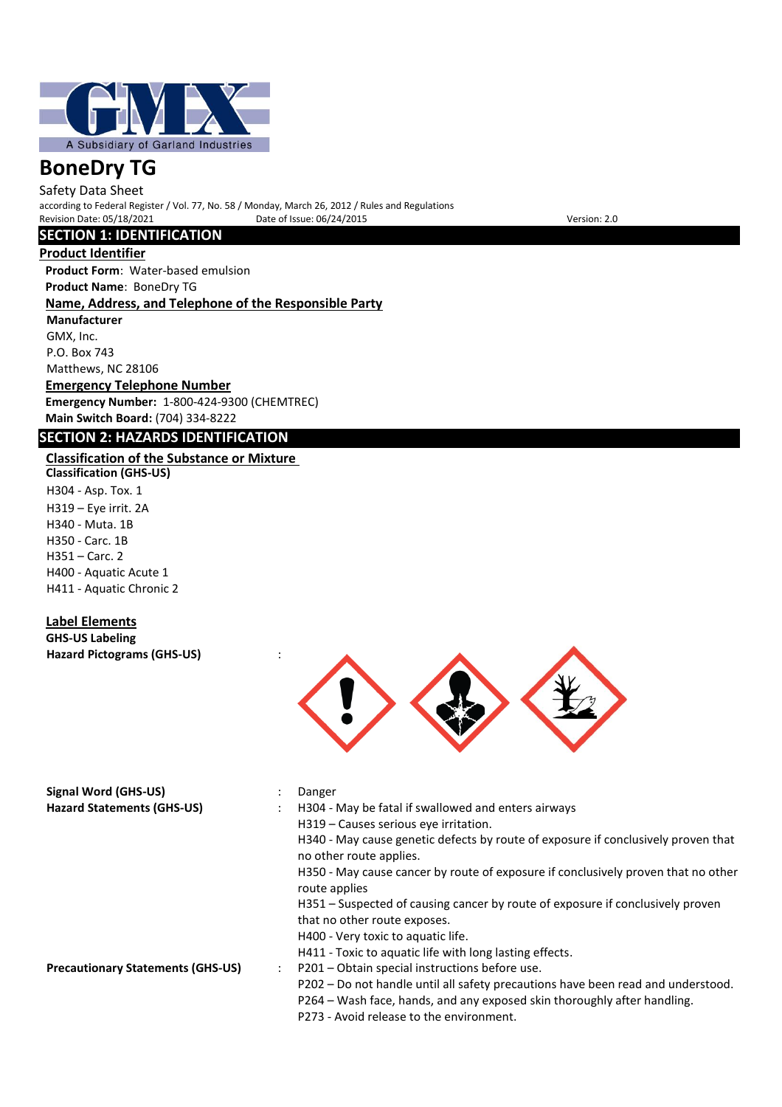

Safety Data Sheet according to Federal Register / Vol. 77, No. 58 / Monday, March 26, 2012 / Rules and Regulations Date of Issue: 06/24/2015 Version: 2.0

## **SECTION 1: IDENTIFICATION**

## **Product Identifier**

**Product Form**: Water-based emulsion **Product Name**: BoneDry TG

## **Name, Address, and Telephone of the Responsible Party**

**Manufacturer** GMX, Inc. P.O. Box 743 Matthews, NC 28106

**Emergency Telephone Number Emergency Number:** 1-800-424-9300 (CHEMTREC) **Main Switch Board:** (704) 334-8222

## **SECTION 2: HAZARDS IDENTIFICATION**

## **Classification of the Substance or Mixture**

**Classification (GHS-US)** H304 - Asp. Tox. 1 H319 – Eye irrit. 2A H340 - Muta. 1B H350 - Carc. 1B H351 – Carc. 2 H400 - Aquatic Acute 1 H411 - Aquatic Chronic 2

## **Label Elements**

**GHS-US Labeling Hazard Pictograms (GHS-US)** :



| Signal Word (GHS-US)                     |   | Danger                                                                                                                                                       |
|------------------------------------------|---|--------------------------------------------------------------------------------------------------------------------------------------------------------------|
| <b>Hazard Statements (GHS-US)</b>        |   | H304 - May be fatal if swallowed and enters airways                                                                                                          |
|                                          |   | H319 - Causes serious eve irritation.                                                                                                                        |
|                                          |   | H340 - May cause genetic defects by route of exposure if conclusively proven that<br>no other route applies.                                                 |
|                                          |   | H350 - May cause cancer by route of exposure if conclusively proven that no other<br>route applies                                                           |
|                                          |   | H351 – Suspected of causing cancer by route of exposure if conclusively proven                                                                               |
|                                          |   | that no other route exposes.                                                                                                                                 |
|                                          |   | H400 - Very toxic to aquatic life.                                                                                                                           |
|                                          |   | H411 - Toxic to aquatic life with long lasting effects.                                                                                                      |
| <b>Precautionary Statements (GHS-US)</b> | ÷ | P201 – Obtain special instructions before use.                                                                                                               |
|                                          |   | P202 – Do not handle until all safety precautions have been read and understood.<br>P264 – Wash face, hands, and any exposed skin thoroughly after handling. |

P273 - Avoid release to the environment.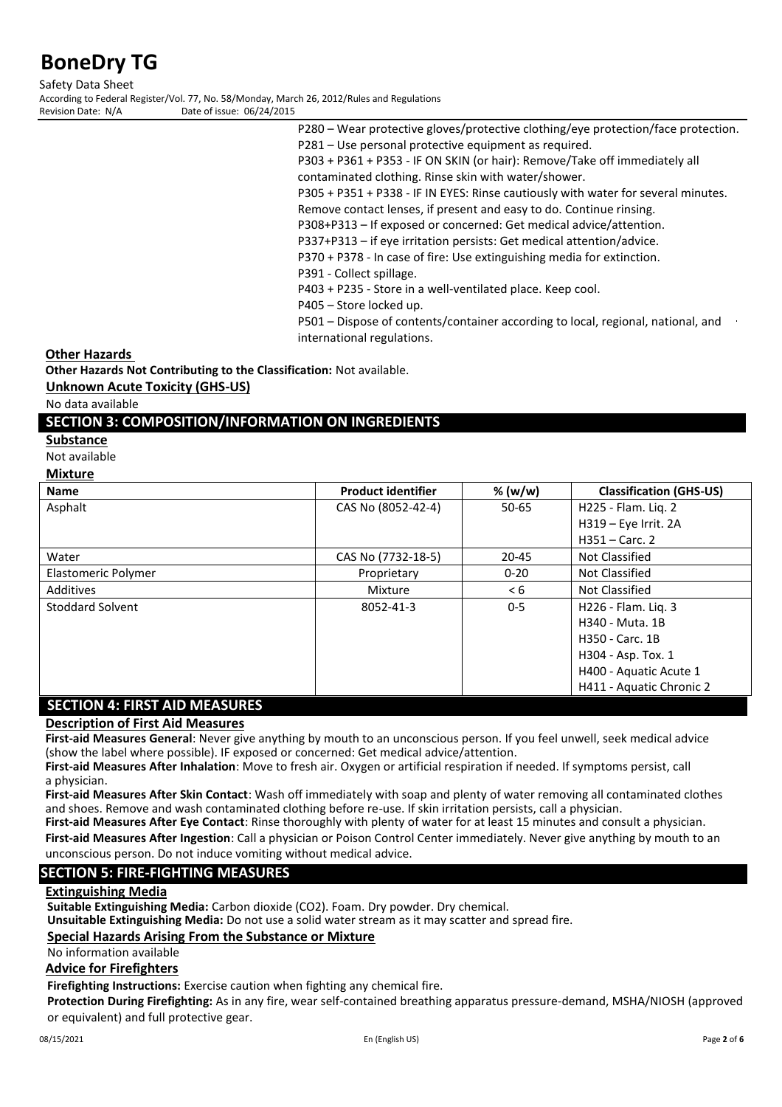Safety Data Sheet According to Federal Register/Vol. 77, No. 58/Monday, March 26, 2012/Rules and Regulations<br>Revision Date: N/A<br>Date of issue: 06/24/2015 Date of issue: 06/24/2015

> P280 – Wear protective gloves/protective clothing/eye protection/face protection. P281 – Use personal protective equipment as required.

P303 + P361 + P353 - IF ON SKIN (or hair): Remove/Take off immediately all contaminated clothing. Rinse skin with water/shower.

P305 + P351 + P338 - IF IN EYES: Rinse cautiously with water for several minutes.

Remove contact lenses, if present and easy to do. Continue rinsing.

P308+P313 – If exposed or concerned: Get medical advice/attention.

P337+P313 – if eye irritation persists: Get medical attention/advice.

P370 + P378 - In case of fire: Use extinguishing media for extinction.

- P391 Collect spillage.
- P403 + P235 Store in a well-ventilated place. Keep cool.
- P405 Store locked up.

P501 – Dispose of contents/container according to local, regional, national, and international regulations.

**Other Hazards** 

**Other Hazards Not Contributing to the Classification:** Not available.

**Unknown Acute Toxicity (GHS-US)**

No data available

## **SECTION 3: COMPOSITION/INFORMATION ON INGREDIENTS**

#### **Substance**

Not available

#### **Mixture**

| <b>Name</b>                       | <b>Product identifier</b> | % (w/w)  | <b>Classification (GHS-US)</b> |
|-----------------------------------|---------------------------|----------|--------------------------------|
| Asphalt                           | CAS No (8052-42-4)        | 50-65    | H225 - Flam. Lig. 2            |
|                                   |                           |          | H319 - Eye Irrit. 2A           |
|                                   |                           |          | $H351 -$ Carc. 2               |
| Water                             | CAS No (7732-18-5)        | 20-45    | Not Classified                 |
| Elastomeric Polymer               | Proprietary               | $0 - 20$ | Not Classified                 |
| Additives                         | Mixture                   | < 6      | Not Classified                 |
| <b>Stoddard Solvent</b>           | 8052-41-3                 | $0 - 5$  | H226 - Flam. Lig. 3            |
|                                   |                           |          | H340 - Muta, 1B                |
|                                   |                           |          | H350 - Carc. 1B                |
|                                   |                           |          | H304 - Asp. Tox. 1             |
|                                   |                           |          | H400 - Aquatic Acute 1         |
|                                   |                           |          | H411 - Aquatic Chronic 2       |
| FIRE AIR ALEACHBEC<br>CEATIA 11 A |                           |          |                                |

#### **SECTION 4: FIRST AID MEASURES**

## **Description of First Aid Measures**

**First-aid Measures General**: Never give anything by mouth to an unconscious person. If you feel unwell, seek medical advice (show the label where possible). IF exposed or concerned: Get medical advice/attention.

**First-aid Measures After Inhalation**: Move to fresh air. Oxygen or artificial respiration if needed. If symptoms persist, call a physician.

**First-aid Measures After Skin Contact**: Wash off immediately with soap and plenty of water removing all contaminated clothes and shoes. Remove and wash contaminated clothing before re-use. If skin irritation persists, call a physician.

**First-aid Measures After Eye Contact**: Rinse thoroughly with plenty of water for at least 15 minutes and consult a physician.

**First-aid Measures After Ingestion**: Call a physician or Poison Control Center immediately. Never give anything by mouth to an unconscious person. Do not induce vomiting without medical advice.

## **SECTION 5: FIRE-FIGHTING MEASURES**

#### **Extinguishing Media**

**Suitable Extinguishing Media:** Carbon dioxide (CO2). Foam. Dry powder. Dry chemical.

**Unsuitable Extinguishing Media:** Do not use a solid water stream as it may scatter and spread fire.

#### **Special Hazards Arising From the Substance or Mixture**

No information available

### **Advice for Firefighters**

**Firefighting Instructions:** Exercise caution when fighting any chemical fire.

**Protection During Firefighting:** As in any fire, wear self-contained breathing apparatus pressure-demand, MSHA/NIOSH (approved or equivalent) and full protective gear.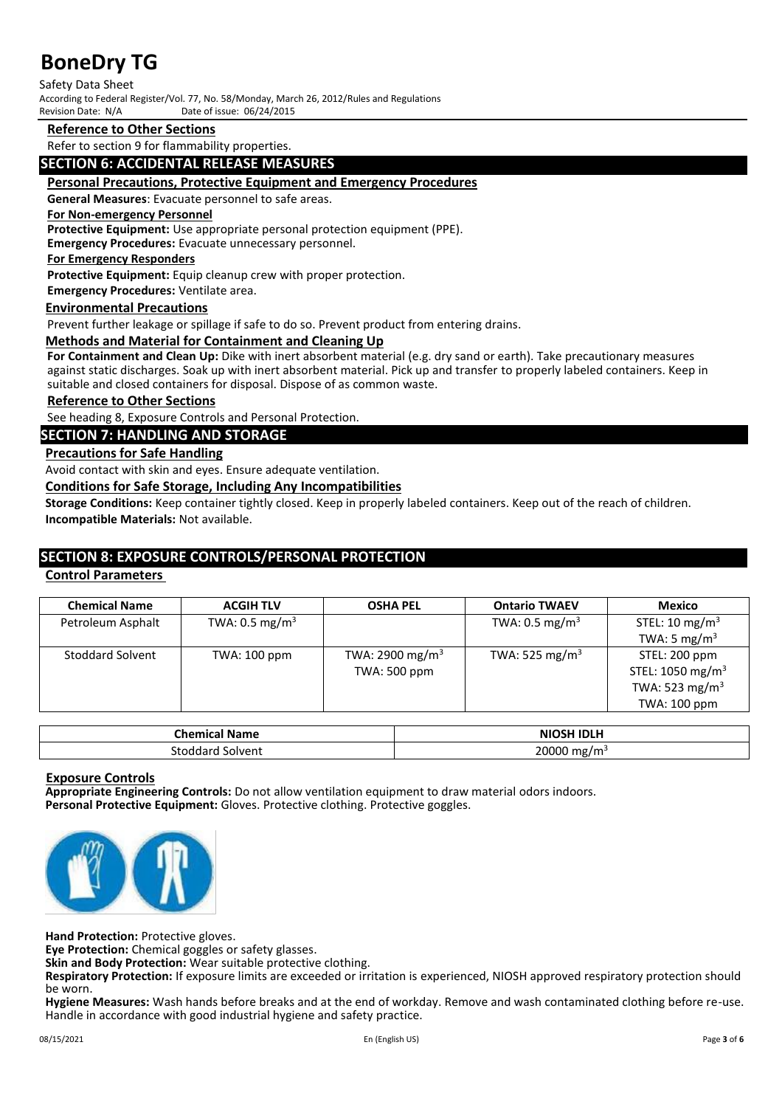#### Safety Data Sheet

According to Federal Register/Vol. 77, No. 58/Monday, March 26, 2012/Rules and Regulations<br>Revision Date: N/A<br>Date of issue: 06/24/2015

Date of issue: 06/24/2015

### **Reference to Other Sections**

Refer to section 9 for flammability properties.

### **SECTION 6: ACCIDENTAL RELEASE MEASURES**

#### **Personal Precautions, Protective Equipment and Emergency Procedures**

**General Measures**: Evacuate personnel to safe areas.

#### **For Non-emergency Personnel**

**Protective Equipment:** Use appropriate personal protection equipment (PPE).

**Emergency Procedures:** Evacuate unnecessary personnel.

## **For Emergency Responders**

**Protective Equipment:** Equip cleanup crew with proper protection.

**Emergency Procedures:** Ventilate area.

### **Environmental Precautions**

Prevent further leakage or spillage if safe to do so. Prevent product from entering drains.

#### **Methods and Material for Containment and Cleaning Up**

**For Containment and Clean Up:** Dike with inert absorbent material (e.g. dry sand or earth). Take precautionary measures against static discharges. Soak up with inert absorbent material. Pick up and transfer to properly labeled containers. Keep in suitable and closed containers for disposal. Dispose of as common waste.

### **Reference to Other Sections**

See heading 8, Exposure Controls and Personal Protection.

#### **SECTION 7: HANDLING AND STORAGE**

#### **Precautions for Safe Handling**

Avoid contact with skin and eyes. Ensure adequate ventilation.

**Conditions for Safe Storage, Including Any Incompatibilities**

**Storage Conditions:** Keep container tightly closed. Keep in properly labeled containers. Keep out of the reach of children. **Incompatible Materials:** Not available.

## **SECTION 8: EXPOSURE CONTROLS/PERSONAL PROTECTION**

#### **Control Parameters**

| <b>ACGIH TLV</b>          | <b>OSHA PEL</b>             | <b>Ontario TWAEV</b>       | Mexico                       |
|---------------------------|-----------------------------|----------------------------|------------------------------|
| TWA: $0.5 \text{ mg/m}^3$ |                             | TWA: $0.5 \text{ mg/m}^3$  | STEL: 10 mg/m <sup>3</sup>   |
|                           |                             |                            | TWA: 5 mg/m <sup>3</sup>     |
| TWA: 100 ppm              | TWA: 2900 mg/m <sup>3</sup> | TWA: 525 mg/m <sup>3</sup> | STEL: 200 ppm                |
|                           | TWA: 500 ppm                |                            | STEL: 1050 mg/m <sup>3</sup> |
|                           |                             |                            | TWA: 523 mg/m <sup>3</sup>   |
|                           |                             |                            | TWA: 100 ppm                 |
|                           |                             |                            |                              |

| ːhemi<br><b>Name</b><br>. | $-0.011100122$<br>.<br>мı |
|---------------------------|---------------------------|
| solvent<br>stodr<br>- 11  | 20000<br>$m\sigma/m^2$    |

#### **Exposure Controls**

**Appropriate Engineering Controls:** Do not allow ventilation equipment to draw material odors indoors. **Personal Protective Equipment:** Gloves. Protective clothing. Protective goggles.



**Hand Protection:** Protective gloves.

**Eye Protection:** Chemical goggles or safety glasses.

**Skin and Body Protection:** Wear suitable protective clothing.

**Respiratory Protection:** If exposure limits are exceeded or irritation is experienced, NIOSH approved respiratory protection should be worn.

**Hygiene Measures:** Wash hands before breaks and at the end of workday. Remove and wash contaminated clothing before re-use. Handle in accordance with good industrial hygiene and safety practice.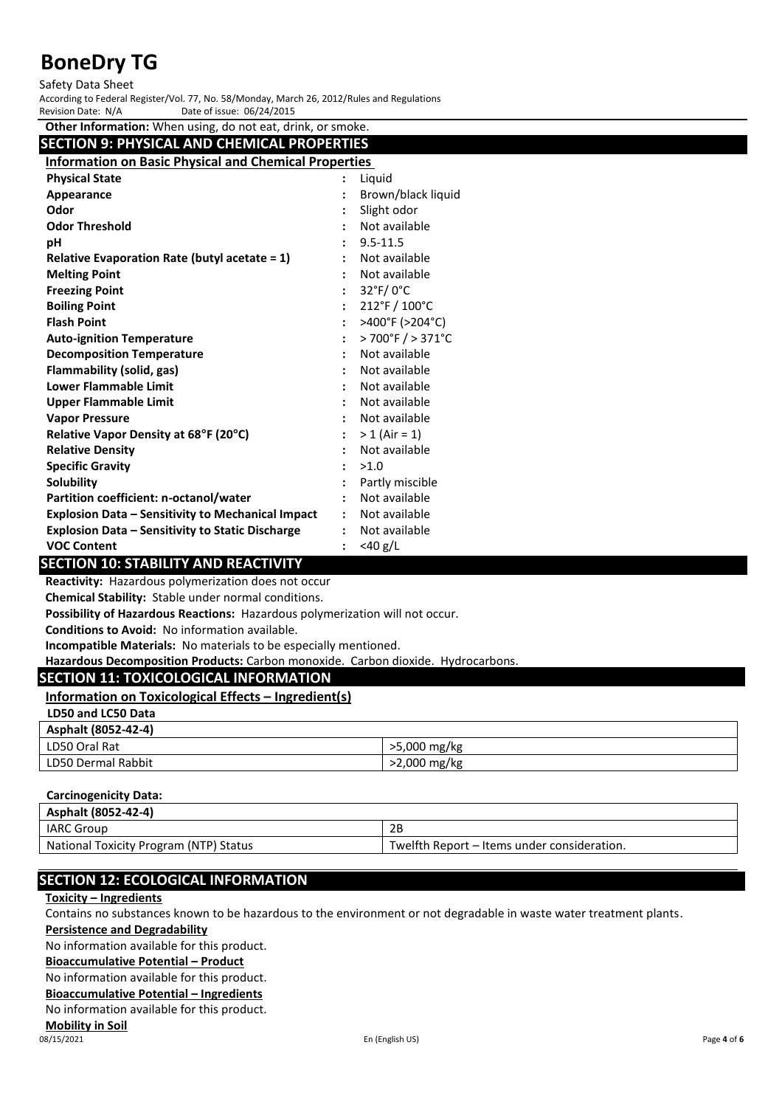#### Safety Data Sheet

According to Federal Register/Vol. 77, No. 58/Monday, March 26, 2012/Rules and Regulations Date of issue: 06/24/2015

| Other Information: When using, do not eat, drink, or smoke.  |                                      |
|--------------------------------------------------------------|--------------------------------------|
| <b>SECTION 9: PHYSICAL AND CHEMICAL PROPERTIES</b>           |                                      |
| <b>Information on Basic Physical and Chemical Properties</b> |                                      |
| <b>Physical State</b>                                        | Liquid                               |
| Appearance                                                   | Brown/black liquid                   |
| Odor                                                         | Slight odor                          |
| <b>Odor Threshold</b>                                        | Not available                        |
| рH                                                           | $9.5 - 11.5$                         |
| <b>Relative Evaporation Rate (butyl acetate = 1)</b>         | Not available                        |
| <b>Melting Point</b>                                         | Not available                        |
| <b>Freezing Point</b>                                        | 32°F/0°C                             |
| <b>Boiling Point</b>                                         | 212°F / 100°C                        |
| <b>Flash Point</b>                                           | >400°F (>204°C)                      |
| <b>Auto-ignition Temperature</b>                             | $>700^{\circ}$ F $/ > 371^{\circ}$ C |
| <b>Decomposition Temperature</b>                             | Not available                        |
| <b>Flammability (solid, gas)</b>                             | Not available                        |
| <b>Lower Flammable Limit</b>                                 | Not available                        |
| <b>Upper Flammable Limit</b>                                 | Not available                        |
| <b>Vapor Pressure</b>                                        | Not available                        |
| Relative Vapor Density at 68°F (20°C)                        | $> 1$ (Air = 1)                      |
| <b>Relative Density</b>                                      | Not available                        |
| <b>Specific Gravity</b>                                      | >1.0                                 |
| <b>Solubility</b>                                            | Partly miscible                      |
| Partition coefficient: n-octanol/water                       | Not available                        |
| <b>Explosion Data - Sensitivity to Mechanical Impact</b>     | Not available                        |
| <b>Explosion Data - Sensitivity to Static Discharge</b>      | Not available                        |
| <b>VOC Content</b>                                           | $<$ 40 g/L                           |

#### **SECTION 10: STABILITY AND REACTIVITY**

**Reactivity:** Hazardous polymerization does not occur

**Chemical Stability:** Stable under normal conditions.

**Possibility of Hazardous Reactions:** Hazardous polymerization will not occur.

**Conditions to Avoid:** No information available.

**Incompatible Materials:** No materials to be especially mentioned.

**Hazardous Decomposition Products:** Carbon monoxide. Carbon dioxide. Hydrocarbons.

### **SECTION 11: TOXICOLOGICAL INFORMATION**

**Information on Toxicological Effects – Ingredient(s)**

| LD50 and LC50 Data                                                                                                                  |  |
|-------------------------------------------------------------------------------------------------------------------------------------|--|
| $\begin{array}{ccc} \end{array}$ $\begin{array}{ccc} \end{array}$ $\begin{array}{ccc} \end{array}$ $\begin{array}{ccc} \end{array}$ |  |

| Asphalt (8052-42-4) |              |
|---------------------|--------------|
| LD50 Oral Rat       | >5,000 mg/kg |
| LD50 Dermal Rabbit  | >2,000 mg/kg |

#### **Carcinogenicity Data:**

| Asphalt (8052-42-4)                    |                                             |
|----------------------------------------|---------------------------------------------|
| <b>IARC Group</b>                      | 2Β                                          |
| National Toxicity Program (NTP) Status | Twelfth Report – Items under consideration. |

## **SECTION 12: ECOLOGICAL INFORMATION**

### **Toxicity – Ingredients**

Contains no substances known to be hazardous to the environment or not degradable in waste water treatment plants.

## **Persistence and Degradability**

No information available for this product.

## **Bioaccumulative Potential – Product**

No information available for this product.

**Bioaccumulative Potential – Ingredients**

No information available for this product.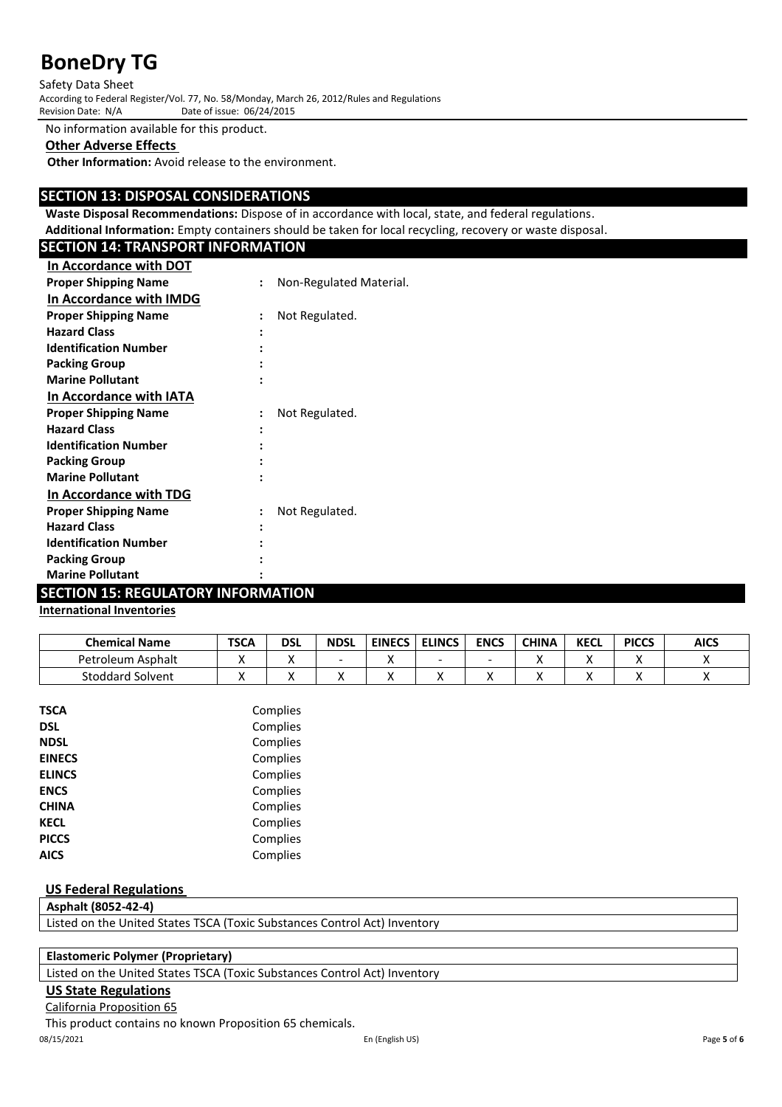Safety Data Sheet According to Federal Register/Vol. 77, No. 58/Monday, March 26, 2012/Rules and Regulations

Date of issue: 06/24/2015

No information available for this product.

## **Other Adverse Effects**

**Other Information:** Avoid release to the environment.

## **SECTION 13: DISPOSAL CONSIDERATIONS**

**Waste Disposal Recommendations:** Dispose of in accordance with local, state, and federal regulations.

**Additional Information:** Empty containers should be taken for local recycling, recovery or waste disposal.

| <b>SECTION 14: TRANSPORT INFORMATION</b> |                |                         |
|------------------------------------------|----------------|-------------------------|
| <b>In Accordance with DOT</b>            |                |                         |
| <b>Proper Shipping Name</b>              | $\ddot{\cdot}$ | Non-Regulated Material. |
| In Accordance with IMDG                  |                |                         |
| <b>Proper Shipping Name</b>              |                | Not Regulated.          |
| <b>Hazard Class</b>                      |                |                         |
| <b>Identification Number</b>             |                |                         |
| <b>Packing Group</b>                     |                |                         |
| <b>Marine Pollutant</b>                  |                |                         |
| In Accordance with IATA                  |                |                         |
| <b>Proper Shipping Name</b>              | $\ddot{\cdot}$ | Not Regulated.          |
| <b>Hazard Class</b>                      |                |                         |
| <b>Identification Number</b>             |                |                         |
| <b>Packing Group</b>                     |                |                         |
| <b>Marine Pollutant</b>                  |                |                         |
| In Accordance with TDG                   |                |                         |
| <b>Proper Shipping Name</b>              | $\ddot{\cdot}$ | Not Regulated.          |
| <b>Hazard Class</b>                      |                |                         |
| <b>Identification Number</b>             |                |                         |
| <b>Packing Group</b>                     |                |                         |
| <b>Marine Pollutant</b>                  |                |                         |

## **SECTION 15: REGULATORY INFORMATION**

## **International Inventories**

| <b>Chemical Name</b>    | <b>TSCA</b> | dsl | <b>NDSL</b> | <b>EINECS</b> | <b>ELINCS</b> | <b>ENCS</b> | <b>CHINA</b> | <b>KECL</b> | <b>PICCS</b> | <b>AICS</b> |
|-------------------------|-------------|-----|-------------|---------------|---------------|-------------|--------------|-------------|--------------|-------------|
| Petroleum Asphalt       |             |     |             |               |               |             |              | . .         |              |             |
| <b>Stoddard Solvent</b> |             |     |             |               |               |             |              |             |              |             |

| <b>TSCA</b>   | Complies |
|---------------|----------|
| <b>DSL</b>    | Complies |
| <b>NDSL</b>   | Complies |
| <b>EINECS</b> | Complies |
| <b>ELINCS</b> | Complies |
| <b>ENCS</b>   | Complies |
| <b>CHINA</b>  | Complies |
| <b>KECL</b>   | Complies |
| <b>PICCS</b>  | Complies |
| <b>AICS</b>   | Complies |
|               |          |

### **US Federal Regulations**

**Asphalt (8052-42-4)** Listed on the United States TSCA (Toxic Substances Control Act) Inventory

### **Elastomeric Polymer (Proprietary)**

Listed on the United States TSCA (Toxic Substances Control Act) Inventory

## **US State Regulations**

California Proposition 65

This product contains no known Proposition 65 chemicals.